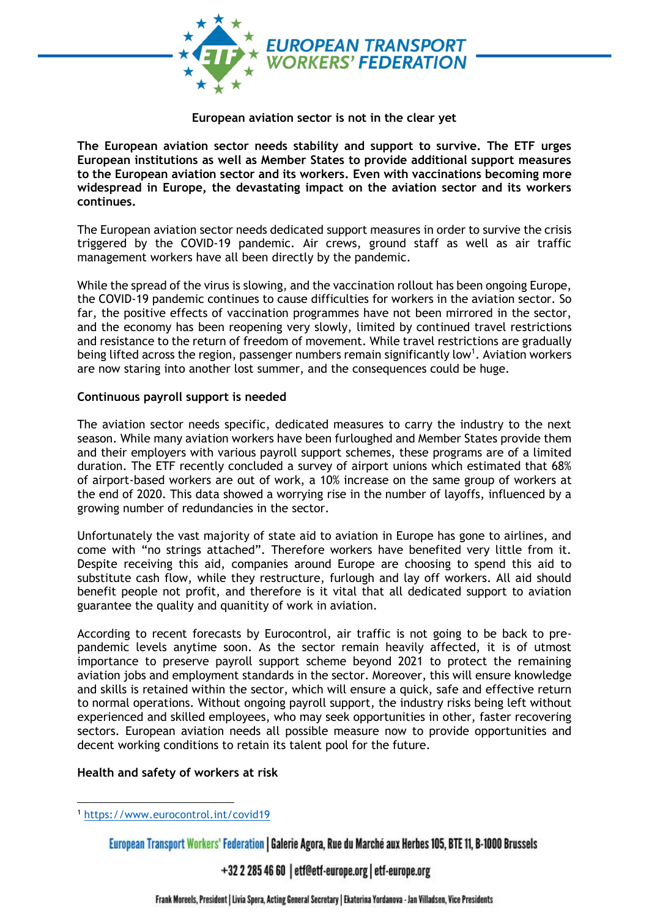

#### **European aviation sector is not in the clear yet**

**The European aviation sector needs stability and support to survive. The ETF urges European institutions as well as Member States to provide additional support measures to the European aviation sector and its workers. Even with vaccinations becoming more widespread in Europe, the devastating impact on the aviation sector and its workers continues.**

The European aviation sector needs dedicated support measures in order to survive the crisis triggered by the COVID-19 pandemic. Air crews, ground staff as well as air traffic management workers have all been directly by the pandemic.

While the spread of the virus is slowing, and the vaccination rollout has been ongoing Europe, the COVID-19 pandemic continues to cause difficulties for workers in the aviation sector. So far, the positive effects of vaccination programmes have not been mirrored in the sector, and the economy has been reopening very slowly, limited by continued travel restrictions and resistance to the return of freedom of movement. While travel restrictions are gradually being lifted across the region, passenger numbers remain significantly low<sup>1</sup>. Aviation workers are now staring into another lost summer, and the consequences could be huge.

## **Continuous payroll support is needed**

The aviation sector needs specific, dedicated measures to carry the industry to the next season. While many aviation workers have been furloughed and Member States provide them and their employers with various payroll support schemes, these programs are of a limited duration. The ETF recently concluded a survey of airport unions which estimated that 68% of airport-based workers are out of work, a 10% increase on the same group of workers at the end of 2020. This data showed a worrying rise in the number of layoffs, influenced by a growing number of redundancies in the sector.

Unfortunately the vast majority of state aid to aviation in Europe has gone to airlines, and come with "no strings attached". Therefore workers have benefited very little from it. Despite receiving this aid, companies around Europe are choosing to spend this aid to substitute cash flow, while they restructure, furlough and lay off workers. All aid should benefit people not profit, and therefore is it vital that all dedicated support to aviation guarantee the quality and quanitity of work in aviation.

According to recent forecasts by Eurocontrol, air traffic is not going to be back to prepandemic levels anytime soon. As the sector remain heavily affected, it is of utmost importance to preserve payroll support scheme beyond 2021 to protect the remaining aviation jobs and employment standards in the sector. Moreover, this will ensure knowledge and skills is retained within the sector, which will ensure a quick, safe and effective return to normal operations. Without ongoing payroll support, the industry risks being left without experienced and skilled employees, who may seek opportunities in other, faster recovering sectors. European aviation needs all possible measure now to provide opportunities and decent working conditions to retain its talent pool for the future.

#### **Health and safety of workers at risk**

+32 2 285 46 60 | etf@etf-europe.org | etf-europe.org

<sup>1</sup> <https://www.eurocontrol.int/covid19>

European Transport Workers' Federation | Galerie Agora, Rue du Marché aux Herbes 105, BTE 11, B-1000 Brussels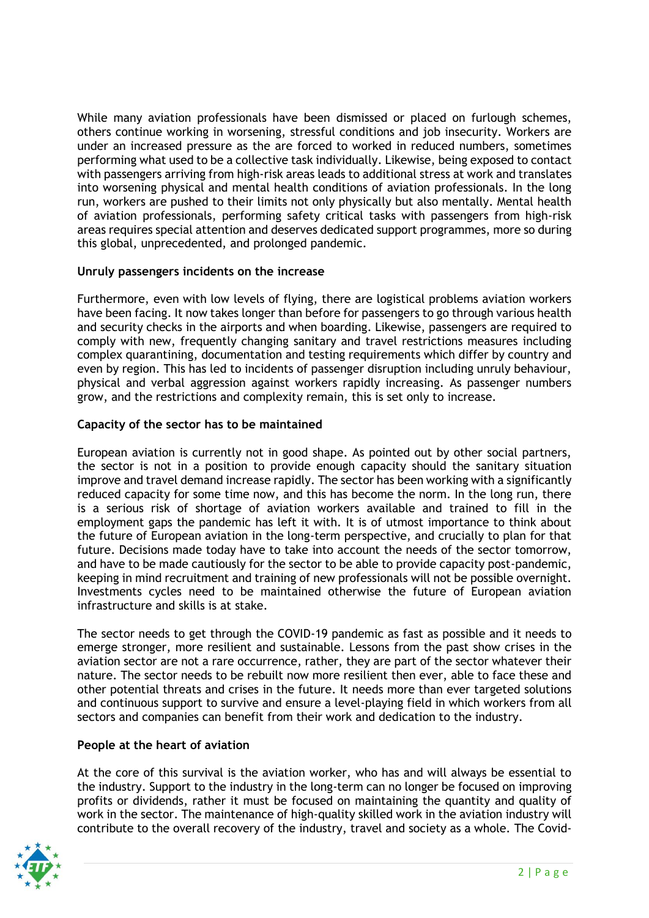While many aviation professionals have been dismissed or placed on furlough schemes, others continue working in worsening, stressful conditions and job insecurity. Workers are under an increased pressure as the are forced to worked in reduced numbers, sometimes performing what used to be a collective task individually. Likewise, being exposed to contact with passengers arriving from high-risk areas leads to additional stress at work and translates into worsening physical and mental health conditions of aviation professionals. In the long run, workers are pushed to their limits not only physically but also mentally. Mental health of aviation professionals, performing safety critical tasks with passengers from high-risk areas requires special attention and deserves dedicated support programmes, more so during this global, unprecedented, and prolonged pandemic.

# **Unruly passengers incidents on the increase**

Furthermore, even with low levels of flying, there are logistical problems aviation workers have been facing. It now takes longer than before for passengers to go through various health and security checks in the airports and when boarding. Likewise, passengers are required to comply with new, frequently changing sanitary and travel restrictions measures including complex quarantining, documentation and testing requirements which differ by country and even by region. This has led to incidents of passenger disruption including unruly behaviour, physical and verbal aggression against workers rapidly increasing. As passenger numbers grow, and the restrictions and complexity remain, this is set only to increase.

# **Capacity of the sector has to be maintained**

European aviation is currently not in good shape. As pointed out by other social partners, the sector is not in a position to provide enough capacity should the sanitary situation improve and travel demand increase rapidly. The sector has been working with a significantly reduced capacity for some time now, and this has become the norm. In the long run, there is a serious risk of shortage of aviation workers available and trained to fill in the employment gaps the pandemic has left it with. It is of utmost importance to think about the future of European aviation in the long-term perspective, and crucially to plan for that future. Decisions made today have to take into account the needs of the sector tomorrow, and have to be made cautiously for the sector to be able to provide capacity post-pandemic, keeping in mind recruitment and training of new professionals will not be possible overnight. Investments cycles need to be maintained otherwise the future of European aviation infrastructure and skills is at stake.

The sector needs to get through the COVID-19 pandemic as fast as possible and it needs to emerge stronger, more resilient and sustainable. Lessons from the past show crises in the aviation sector are not a rare occurrence, rather, they are part of the sector whatever their nature. The sector needs to be rebuilt now more resilient then ever, able to face these and other potential threats and crises in the future. It needs more than ever targeted solutions and continuous support to survive and ensure a level-playing field in which workers from all sectors and companies can benefit from their work and dedication to the industry.

## **People at the heart of aviation**

At the core of this survival is the aviation worker, who has and will always be essential to the industry. Support to the industry in the long-term can no longer be focused on improving profits or dividends, rather it must be focused on maintaining the quantity and quality of work in the sector. The maintenance of high-quality skilled work in the aviation industry will contribute to the overall recovery of the industry, travel and society as a whole. The Covid-